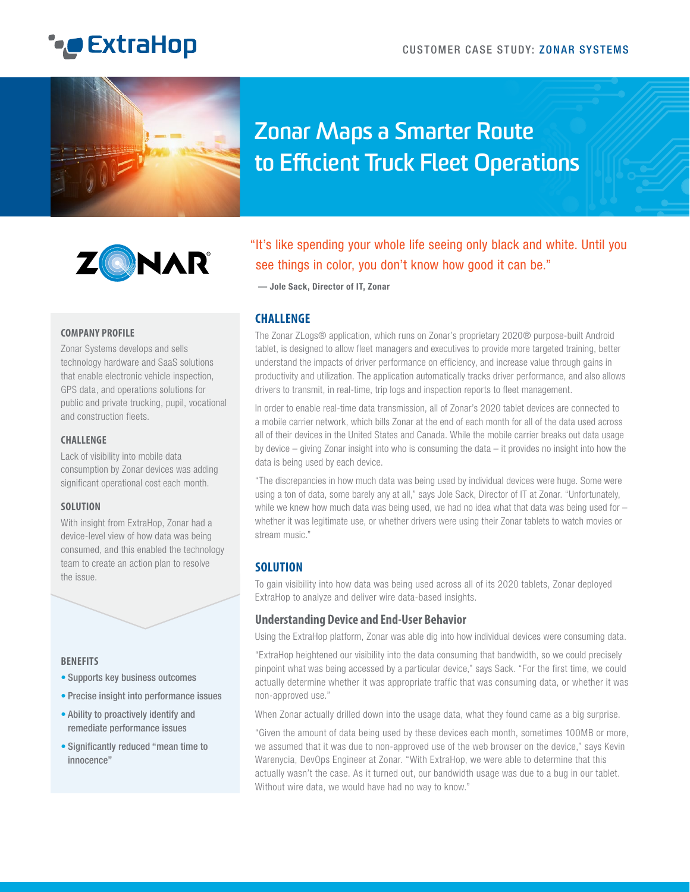# **C** ExtraHop



## **Zonar Maps a Smarter Route to Efficient Truck Fleet Operations**



### "It's like spending your whole life seeing only black and white. Until you see things in color, you don't know how good it can be."

**— Jole Sack, Director of IT, Zonar**

#### **CHALLENGE**

The Zonar ZLogs® application, which runs on Zonar's proprietary 2020® purpose-built Android tablet, is designed to allow fleet managers and executives to provide more targeted training, better understand the impacts of driver performance on efficiency, and increase value through gains in productivity and utilization. The application automatically tracks driver performance, and also allows drivers to transmit, in real-time, trip logs and inspection reports to fleet management.

In order to enable real-time data transmission, all of Zonar's 2020 tablet devices are connected to a mobile carrier network, which bills Zonar at the end of each month for all of the data used across all of their devices in the United States and Canada. While the mobile carrier breaks out data usage by device – giving Zonar insight into who is consuming the data – it provides no insight into how the data is being used by each device.

"The discrepancies in how much data was being used by individual devices were huge. Some were using a ton of data, some barely any at all," says Jole Sack, Director of IT at Zonar. "Unfortunately, while we knew how much data was being used, we had no idea what that data was being used for  $$ whether it was legitimate use, or whether drivers were using their Zonar tablets to watch movies or stream music."

#### **SOLUTION**

To gain visibility into how data was being used across all of its 2020 tablets, Zonar deployed ExtraHop to analyze and deliver wire data-based insights.

#### **Understanding Device and End-User Behavior**

Using the ExtraHop platform, Zonar was able dig into how individual devices were consuming data.

"ExtraHop heightened our visibility into the data consuming that bandwidth, so we could precisely pinpoint what was being accessed by a particular device," says Sack. "For the first time, we could actually determine whether it was appropriate traffic that was consuming data, or whether it was non-approved use."

When Zonar actually drilled down into the usage data, what they found came as a big surprise.

"Given the amount of data being used by these devices each month, sometimes 100MB or more, we assumed that it was due to non-approved use of the web browser on the device," says Kevin Warenycia, DevOps Engineer at Zonar. "With ExtraHop, we were able to determine that this actually wasn't the case. As it turned out, our bandwidth usage was due to a bug in our tablet. Without wire data, we would have had no way to know."

#### **COMPANY PROFILE**

Zonar Systems develops and sells technology hardware and SaaS solutions that enable electronic vehicle inspection, GPS data, and operations solutions for public and private trucking, pupil, vocational and construction fleets.

#### **CHALLENGE**

Lack of visibility into mobile data consumption by Zonar devices was adding significant operational cost each month.

#### **SOLUTION**

With insight from ExtraHop, Zonar had a device-level view of how data was being consumed, and this enabled the technology team to create an action plan to resolve the issue.

#### **BENEFITS**

- Supports key business outcomes
- Precise insight into performance issues
- Ability to proactively identify and remediate performance issues
- Significantly reduced "mean time to innocence"